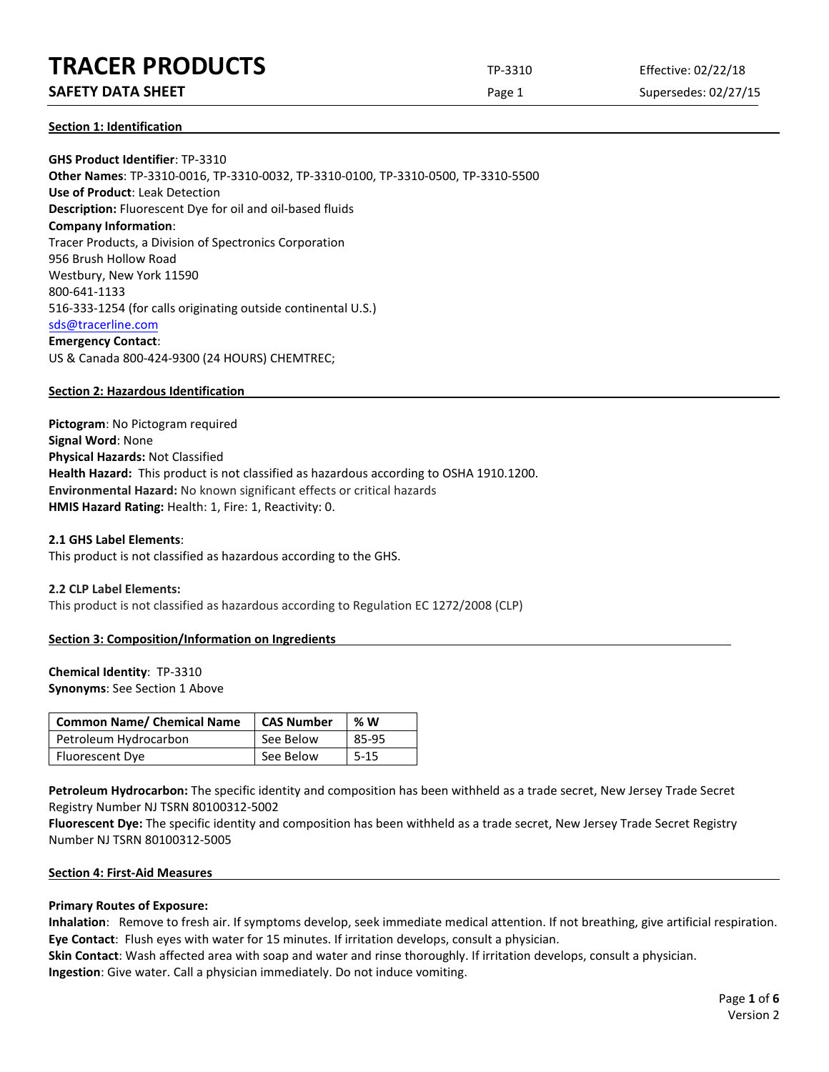## **TRACER PRODUCTS** TP-3310 Effective: 02/22/18

## **SAFETY DATA SHEET** SUPERFOUR CONSIDERING Page 1 Supersedes: 02/27/15

**Section 1: Identification**

**GHS Product Identifier**: TP-3310 **Other Names**: TP-3310-0016, TP-3310-0032, TP-3310-0100, TP-3310-0500, TP-3310-5500 **Use of Product**: Leak Detection **Description:** Fluorescent Dye for oil and oil-based fluids **Company Information**: Tracer Products, a Division of Spectronics Corporation 956 Brush Hollow Road Westbury, New York 11590 800-641-1133 516-333-1254 (for calls originating outside continental U.S.) [sds@tracerline.com](mailto:sds@tracerline.com) **Emergency Contact**: US & Canada 800-424-9300 (24 HOURS) CHEMTREC;

## **Section 2: Hazardous Identification**

**Pictogram**: No Pictogram required **Signal Word**: None **Physical Hazards:** Not Classified **Health Hazard:** This product is not classified as hazardous according to OSHA 1910.1200. **Environmental Hazard:** No known significant effects or critical hazards **HMIS Hazard Rating:** Health: 1, Fire: 1, Reactivity: 0.

## **2.1 GHS Label Elements**:

This product is not classified as hazardous according to the GHS.

#### **2.2 CLP Label Elements:**

This product is not classified as hazardous according to Regulation EC 1272/2008 (CLP)

## **Section 3: Composition/Information on Ingredients**

## **Chemical Identity**: TP-3310

**Synonyms**: See Section 1 Above

| <b>Common Name/ Chemical Name</b> | <b>CAS Number</b> | %W       |
|-----------------------------------|-------------------|----------|
| Petroleum Hydrocarbon             | See Below         | 85-95    |
| Fluorescent Dye                   | See Below         | $5 - 15$ |

**Petroleum Hydrocarbon:** The specific identity and composition has been withheld as a trade secret, New Jersey Trade Secret Registry Number NJ TSRN 80100312-5002

**Fluorescent Dye:** The specific identity and composition has been withheld as a trade secret, New Jersey Trade Secret Registry Number NJ TSRN 80100312-5005

#### **Section 4: First-Aid Measures**

#### **Primary Routes of Exposure:**

**Inhalation**: Remove to fresh air. If symptoms develop, seek immediate medical attention. If not breathing, give artificial respiration. **Eye Contact**: Flush eyes with water for 15 minutes. If irritation develops, consult a physician.

**Skin Contact**: Wash affected area with soap and water and rinse thoroughly. If irritation develops, consult a physician. **Ingestion**: Give water. Call a physician immediately. Do not induce vomiting.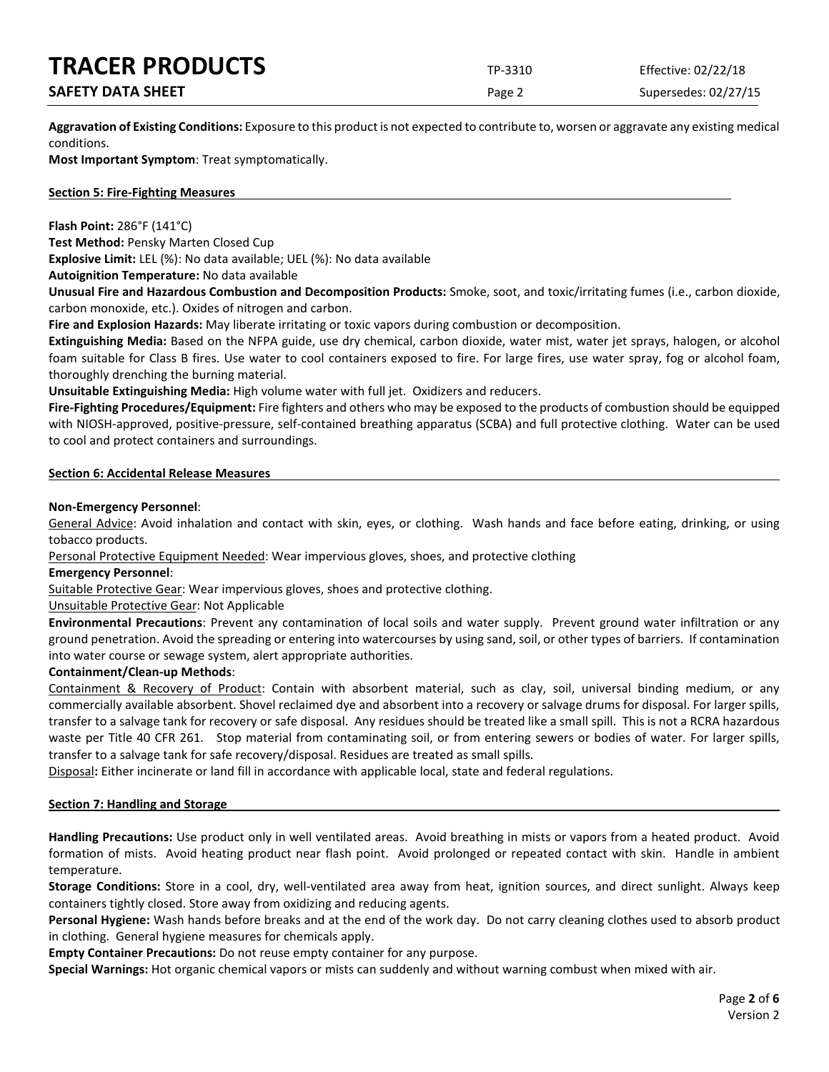## **TRACER PRODUCTS** TP-3310 Effective: 02/22/18

## **SAFETY DATA SHEET** SUPERFOUR SAFET ASSESSED A REPORT OF SUPERFOURING Page 2 Supersedes: 02/27/15

**Aggravation of Existing Conditions:** Exposure to this product is not expected to contribute to, worsen or aggravate any existing medical conditions.

**Most Important Symptom**: Treat symptomatically.

## **Section 5: Fire-Fighting Measures**

**Flash Point:** 286°F (141°C)

**Test Method:** Pensky Marten Closed Cup

**Explosive Limit:** LEL (%): No data available; UEL (%): No data available

**Autoignition Temperature:** No data available

**Unusual Fire and Hazardous Combustion and Decomposition Products:** Smoke, soot, and toxic/irritating fumes (i.e., carbon dioxide, carbon monoxide, etc.). Oxides of nitrogen and carbon.

**Fire and Explosion Hazards:** May liberate irritating or toxic vapors during combustion or decomposition.

**Extinguishing Media:** Based on the NFPA guide, use dry chemical, carbon dioxide, water mist, water jet sprays, halogen, or alcohol foam suitable for Class B fires. Use water to cool containers exposed to fire. For large fires, use water spray, fog or alcohol foam, thoroughly drenching the burning material.

**Unsuitable Extinguishing Media:** High volume water with full jet. Oxidizers and reducers.

**Fire-Fighting Procedures/Equipment:** Fire fighters and others who may be exposed to the products of combustion should be equipped with NIOSH-approved, positive-pressure, self-contained breathing apparatus (SCBA) and full protective clothing. Water can be used to cool and protect containers and surroundings.

## **Section 6: Accidental Release Measures**

## **Non-Emergency Personnel**:

General Advice: Avoid inhalation and contact with skin, eyes, or clothing. Wash hands and face before eating, drinking, or using tobacco products.

Personal Protective Equipment Needed: Wear impervious gloves, shoes, and protective clothing

## **Emergency Personnel**:

Suitable Protective Gear: Wear impervious gloves, shoes and protective clothing.

## Unsuitable Protective Gear: Not Applicable

**Environmental Precautions**: Prevent any contamination of local soils and water supply. Prevent ground water infiltration or any ground penetration. Avoid the spreading or entering into watercourses by using sand, soil, or other types of barriers. If contamination into water course or sewage system, alert appropriate authorities.

## **Containment/Clean-up Methods**:

Containment & Recovery of Product: Contain with absorbent material, such as clay, soil, universal binding medium, or any commercially available absorbent. Shovel reclaimed dye and absorbent into a recovery or salvage drums for disposal. For larger spills, transfer to a salvage tank for recovery or safe disposal. Any residues should be treated like a small spill. This is not a RCRA hazardous waste per Title 40 CFR 261. Stop material from contaminating soil, or from entering sewers or bodies of water. For larger spills, transfer to a salvage tank for safe recovery/disposal. Residues are treated as small spills.

Disposal**:** Either incinerate or land fill in accordance with applicable local, state and federal regulations.

## **Section 7: Handling and Storage**

**Handling Precautions:** Use product only in well ventilated areas. Avoid breathing in mists or vapors from a heated product. Avoid formation of mists. Avoid heating product near flash point. Avoid prolonged or repeated contact with skin. Handle in ambient temperature.

**Storage Conditions:** Store in a cool, dry, well-ventilated area away from heat, ignition sources, and direct sunlight. Always keep containers tightly closed. Store away from oxidizing and reducing agents.

**Personal Hygiene:** Wash hands before breaks and at the end of the work day. Do not carry cleaning clothes used to absorb product in clothing. General hygiene measures for chemicals apply.

**Empty Container Precautions:** Do not reuse empty container for any purpose.

**Special Warnings:** Hot organic chemical vapors or mists can suddenly and without warning combust when mixed with air.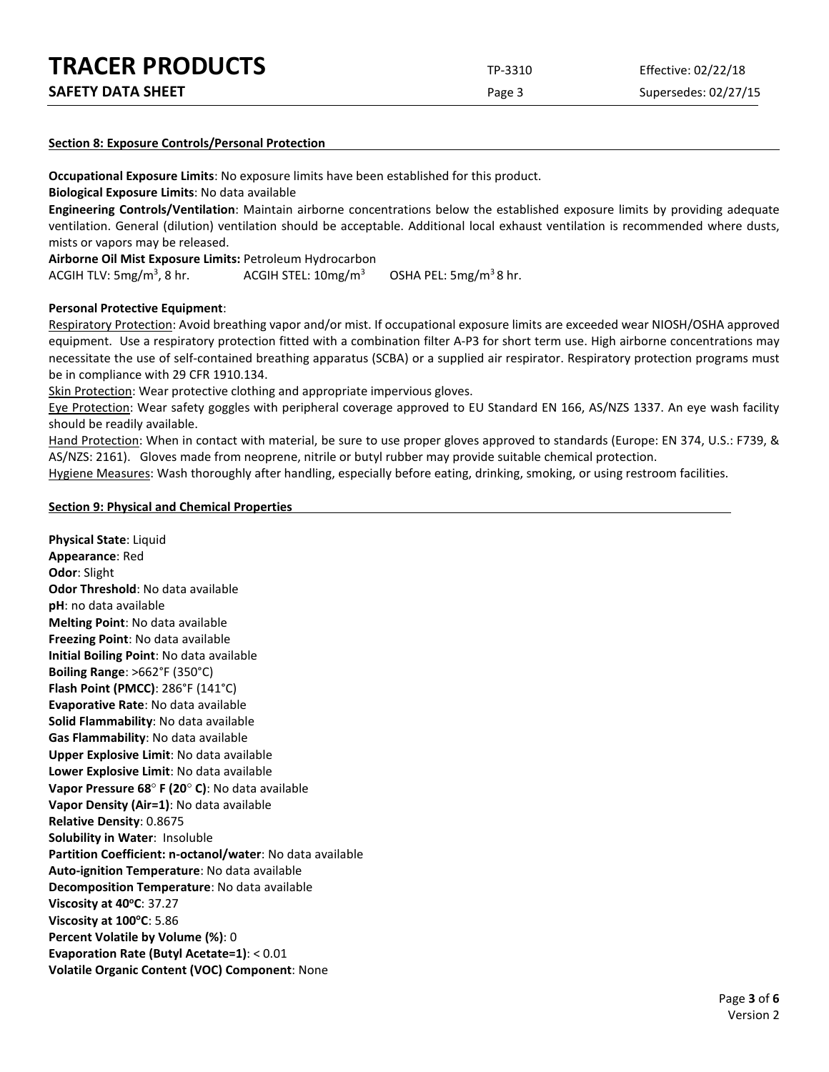| <b>TRACER PRODUCTS</b>   | TP-3310 | Effective: 02/22/18  |
|--------------------------|---------|----------------------|
| <b>SAFETY DATA SHEET</b> | Page 3  | Supersedes: 02/27/15 |

#### **Section 8: Exposure Controls/Personal Protection**

**Occupational Exposure Limits**: No exposure limits have been established for this product.

**Biological Exposure Limits**: No data available

**Engineering Controls/Ventilation**: Maintain airborne concentrations below the established exposure limits by providing adequate ventilation. General (dilution) ventilation should be acceptable. Additional local exhaust ventilation is recommended where dusts, mists or vapors may be released.

**Airborne Oil Mist Exposure Limits:** Petroleum Hydrocarbon

ACGIH TLV:  $5mg/m<sup>3</sup>$ , 8 hr. ACGIH STEL:  $10 \text{mg/m}^3$  OSHA PEL:  $5 \text{mg/m}^3$ 8 hr.

#### **Personal Protective Equipment**:

Respiratory Protection: Avoid breathing vapor and/or mist. If occupational exposure limits are exceeded wear NIOSH/OSHA approved equipment. Use a respiratory protection fitted with a combination filter A-P3 for short term use. High airborne concentrations may necessitate the use of self-contained breathing apparatus (SCBA) or a supplied air respirator. Respiratory protection programs must be in compliance with 29 CFR 1910.134.

Skin Protection: Wear protective clothing and appropriate impervious gloves.

Eye Protection: Wear safety goggles with peripheral coverage approved to EU Standard EN 166, AS/NZS 1337. An eye wash facility should be readily available.

Hand Protection: When in contact with material, be sure to use proper gloves approved to standards (Europe: EN 374, U.S.: F739, & AS/NZS: 2161). Gloves made from neoprene, nitrile or butyl rubber may provide suitable chemical protection.

Hygiene Measures: Wash thoroughly after handling, especially before eating, drinking, smoking, or using restroom facilities.

#### **Section 9: Physical and Chemical Properties**

**Physical State**: Liquid **Appearance**: Red **Odor**: Slight **Odor Threshold**: No data available **pH**: no data available **Melting Point**: No data available **Freezing Point**: No data available **Initial Boiling Point**: No data available **Boiling Range**: >662°F (350°C) **Flash Point (PMCC)**: 286°F (141°C) **Evaporative Rate**: No data available **Solid Flammability**: No data available **Gas Flammability**: No data available **Upper Explosive Limit**: No data available **Lower Explosive Limit**: No data available **Vapor Pressure 68**° **F (20**° **C)**: No data available **Vapor Density (Air=1)**: No data available **Relative Density**: 0.8675 **Solubility in Water**: Insoluble **Partition Coefficient: n-octanol/water**: No data available **Auto-ignition Temperature**: No data available **Decomposition Temperature**: No data available **Viscosity at 40°C: 37.27 Viscosity at 100°C: 5.86 Percent Volatile by Volume (%)**: 0 **Evaporation Rate (Butyl Acetate=1)**: < 0.01 **Volatile Organic Content (VOC) Component**: None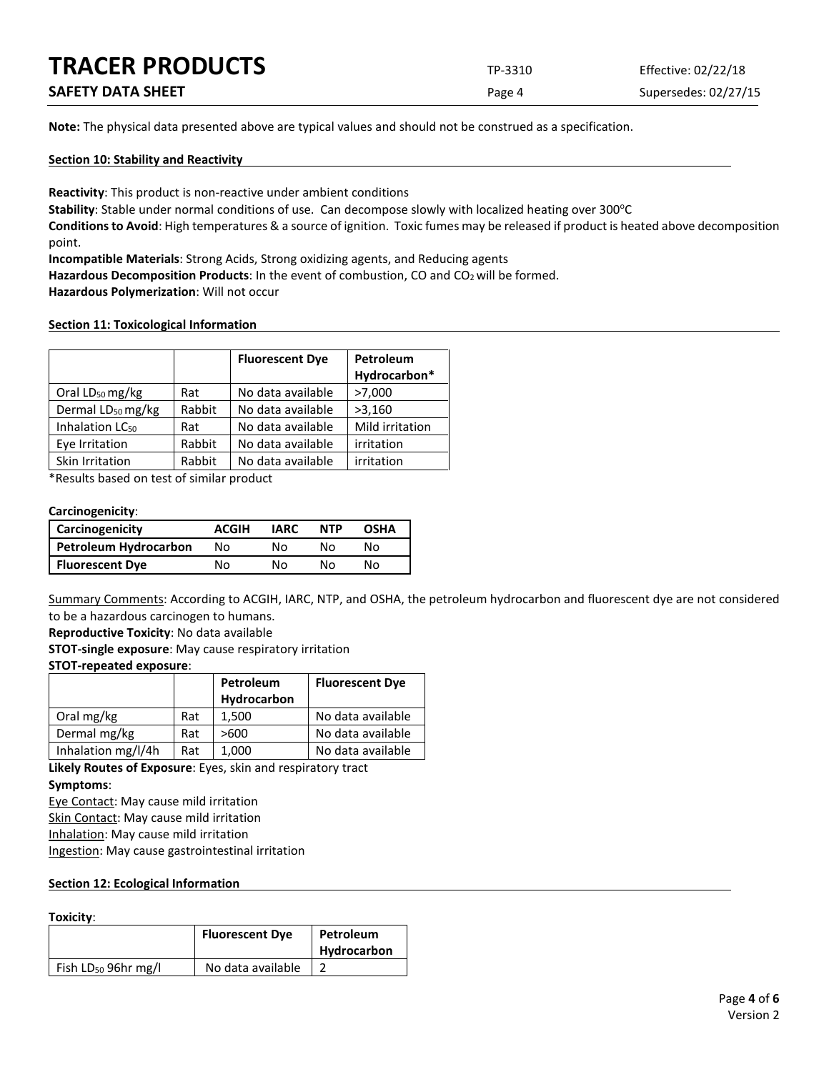| <b>TRACER PRODUCTS</b>   | TP-3310 | Effective: 02/22/18  |
|--------------------------|---------|----------------------|
| <b>SAFETY DATA SHEET</b> | Page 4  | Supersedes: 02/27/15 |

**Note:** The physical data presented above are typical values and should not be construed as a specification.

## **Section 10: Stability and Reactivity**

**Reactivity**: This product is non-reactive under ambient conditions

Stability: Stable under normal conditions of use. Can decompose slowly with localized heating over 300°C

**Conditions to Avoid**: High temperatures & a source of ignition. Toxic fumes may be released if product is heated above decomposition point.

**Incompatible Materials**: Strong Acids, Strong oxidizing agents, and Reducing agents

Hazardous Decomposition Products: In the event of combustion, CO and CO<sub>2</sub> will be formed.

**Hazardous Polymerization**: Will not occur

#### **Section 11: Toxicological Information**

|                               |        | <b>Fluorescent Dye</b> | Petroleum<br>Hydrocarbon* |
|-------------------------------|--------|------------------------|---------------------------|
| Oral LD <sub>50</sub> mg/kg   | Rat    | No data available      | >7,000                    |
| Dermal LD <sub>50</sub> mg/kg | Rabbit | No data available      | >3,160                    |
| Inhalation LC <sub>50</sub>   | Rat    | No data available      | Mild irritation           |
| Eye Irritation                | Rabbit | No data available      | irritation                |
| Skin Irritation               | Rabbit | No data available      | irritation                |

\*Results based on test of similar product

## **Carcinogenicity**:

| <b>Carcinogenicity</b> | <b>ACGIH</b> | <b>IARC</b> | <b>NTP</b> | <b>OSHA</b> |
|------------------------|--------------|-------------|------------|-------------|
| Petroleum Hydrocarbon  | Nο           | Nο          | N٥         | N٥          |
| <b>Fluorescent Dye</b> | No           | N٥          | N٥         | N٥          |

Summary Comments: According to ACGIH, IARC, NTP, and OSHA, the petroleum hydrocarbon and fluorescent dye are not considered to be a hazardous carcinogen to humans.

**Reproductive Toxicity**: No data available

**STOT-single exposure**: May cause respiratory irritation

#### **STOT-repeated exposure**:

|                    |     | Petroleum   | <b>Fluorescent Dye</b> |
|--------------------|-----|-------------|------------------------|
|                    |     | Hydrocarbon |                        |
| Oral mg/kg         | Rat | 1.500       | No data available      |
| Dermal mg/kg       | Rat | >600        | No data available      |
| Inhalation mg/l/4h | Rat | 1.000       | No data available      |

**Likely Routes of Exposure**: Eyes, skin and respiratory tract **Symptoms**:

Eye Contact: May cause mild irritation

Skin Contact: May cause mild irritation

Inhalation: May cause mild irritation

Ingestion: May cause gastrointestinal irritation

#### **Section 12: Ecological Information**

#### **Toxicity**:

|                                 | <b>Fluorescent Dye</b> | Petroleum<br>Hydrocarbon |
|---------------------------------|------------------------|--------------------------|
| Fish LD <sub>50</sub> 96hr mg/l | No data available      |                          |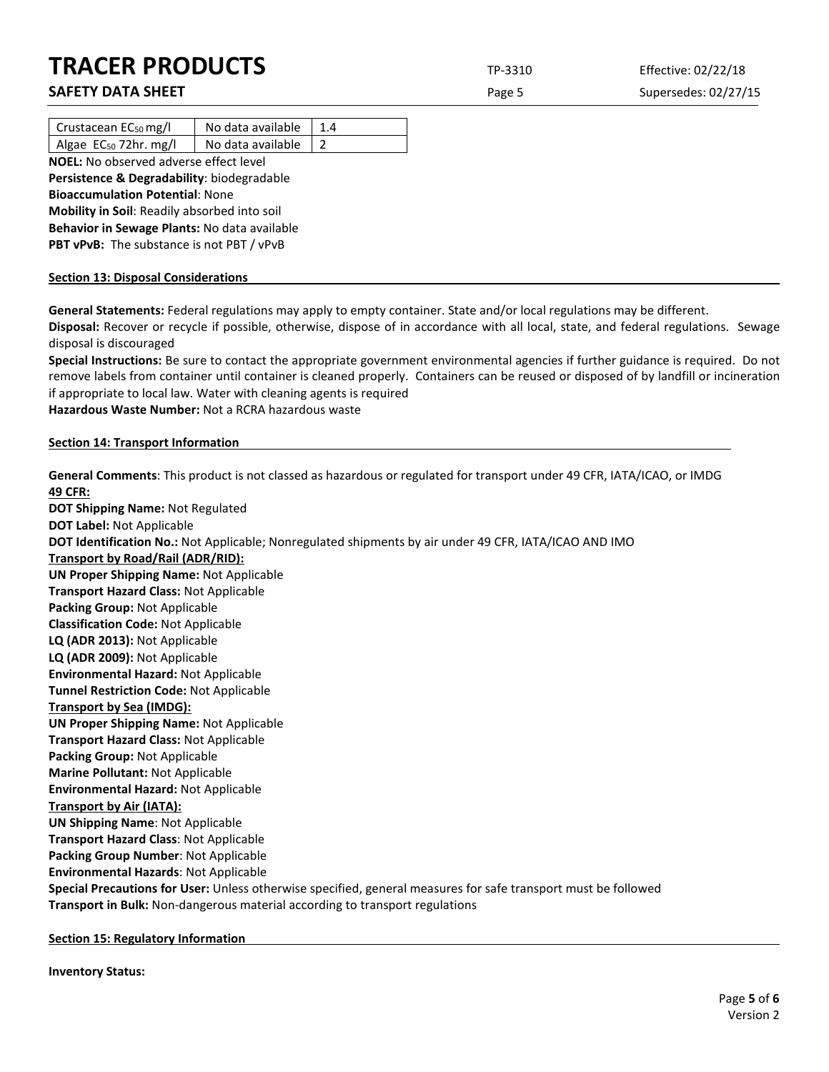# **TRACER PRODUCTS** TP-3310 Effective: 02/22/18

**SAFETY DATA SHEET** SUPERFOUR SAFET ASSESSED A Page 5 Supersedes: 02/27/15

| Crustacean $EC_{50}$ mg/l                     | No data available | 1.4 |  |
|-----------------------------------------------|-------------------|-----|--|
| Algae EC <sub>50</sub> 72hr. mg/l             | No data available |     |  |
| <b>NOEL:</b> No observed adverse effect level |                   |     |  |

**Persistence & Degradability**: biodegradable **Bioaccumulation Potential**: None **Mobility in Soil**: Readily absorbed into soil **Behavior in Sewage Plants:** No data available **PBT vPvB:** The substance is not PBT / vPvB

## **Section 13: Disposal Considerations**

**General Statements:** Federal regulations may apply to empty container. State and/or local regulations may be different. **Disposal:** Recover or recycle if possible, otherwise, dispose of in accordance with all local, state, and federal regulations. Sewage disposal is discouraged

**Special Instructions:** Be sure to contact the appropriate government environmental agencies if further guidance is required. Do not remove labels from container until container is cleaned properly. Containers can be reused or disposed of by landfill or incineration if appropriate to local law. Water with cleaning agents is required

**Hazardous Waste Number:** Not a RCRA hazardous waste

## **Section 14: Transport Information**

**General Comments**: This product is not classed as hazardous or regulated for transport under 49 CFR, IATA/ICAO, or IMDG **49 CFR: DOT Shipping Name:** Not Regulated **DOT Label:** Not Applicable **DOT Identification No.:** Not Applicable; Nonregulated shipments by air under 49 CFR, IATA/ICAO AND IMO **Transport by Road/Rail (ADR/RID): UN Proper Shipping Name:** Not Applicable **Transport Hazard Class:** Not Applicable **Packing Group:** Not Applicable **Classification Code:** Not Applicable **LQ (ADR 2013):** Not Applicable **LQ (ADR 2009):** Not Applicable **Environmental Hazard:** Not Applicable **Tunnel Restriction Code:** Not Applicable **Transport by Sea (IMDG): UN Proper Shipping Name:** Not Applicable **Transport Hazard Class:** Not Applicable **Packing Group:** Not Applicable **Marine Pollutant:** Not Applicable **Environmental Hazard:** Not Applicable **Transport by Air (IATA): UN Shipping Name**: Not Applicable **Transport Hazard Class**: Not Applicable **Packing Group Number**: Not Applicable **Environmental Hazards**: Not Applicable **Special Precautions for User:** Unless otherwise specified, general measures for safe transport must be followed **Transport in Bulk:** Non-dangerous material according to transport regulations

**Section 15: Regulatory Information**

**Inventory Status:**